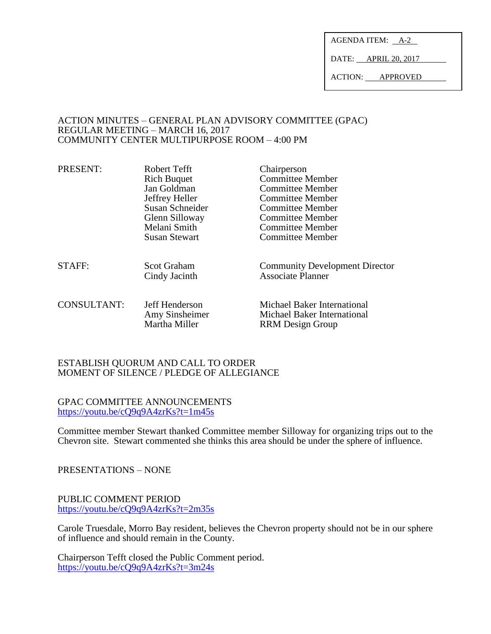AGENDA ITEM: A-2

DATE: APRIL 20, 2017

ACTION: APPROVED

### ACTION MINUTES – GENERAL PLAN ADVISORY COMMITTEE (GPAC) REGULAR MEETING – MARCH 16, 2017 COMMUNITY CENTER MULTIPURPOSE ROOM – 4:00 PM

| PRESENT:           | Robert Tefft<br><b>Rich Buquet</b><br>Jan Goldman<br>Jeffrey Heller<br>Susan Schneider<br>Glenn Silloway<br>Melani Smith<br><b>Susan Stewart</b> | Chairperson<br><b>Committee Member</b><br><b>Committee Member</b><br><b>Committee Member</b><br>Committee Member<br>Committee Member<br>Committee Member<br><b>Committee Member</b> |
|--------------------|--------------------------------------------------------------------------------------------------------------------------------------------------|-------------------------------------------------------------------------------------------------------------------------------------------------------------------------------------|
| <b>STAFF:</b>      | Scot Graham<br>Cindy Jacinth                                                                                                                     | <b>Community Development Director</b><br><b>Associate Planner</b>                                                                                                                   |
| <b>CONSULTANT:</b> | Jeff Henderson<br>Amy Sinsheimer<br>Martha Miller                                                                                                | Michael Baker International<br>Michael Baker International<br><b>RRM</b> Design Group                                                                                               |

### ESTABLISH QUORUM AND CALL TO ORDER MOMENT OF SILENCE / PLEDGE OF ALLEGIANCE

GPAC COMMITTEE ANNOUNCEMENTS <https://youtu.be/cQ9q9A4zrKs?t=1m45s>

Committee member Stewart thanked Committee member Silloway for organizing trips out to the Chevron site. Stewart commented she thinks this area should be under the sphere of influence.

PRESENTATIONS – NONE

PUBLIC COMMENT PERIOD <https://youtu.be/cQ9q9A4zrKs?t=2m35s>

Carole Truesdale, Morro Bay resident, believes the Chevron property should not be in our sphere of influence and should remain in the County.

Chairperson Tefft closed the Public Comment period. <https://youtu.be/cQ9q9A4zrKs?t=3m24s>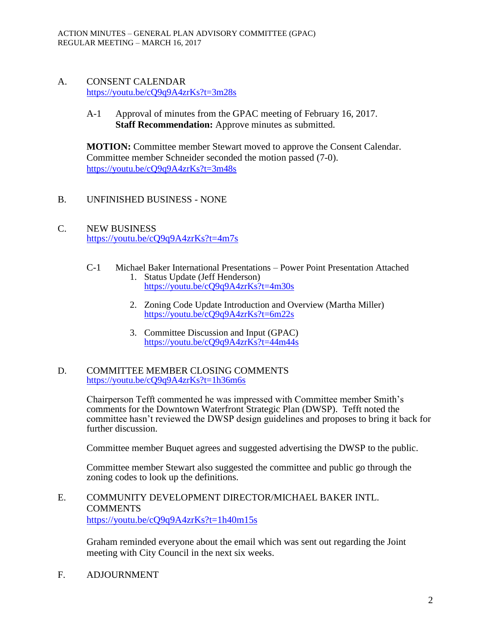# A. CONSENT CALENDAR <https://youtu.be/cQ9q9A4zrKs?t=3m28s>

A-1 Approval of minutes from the GPAC meeting of February 16, 2017. **Staff Recommendation:** Approve minutes as submitted.

**MOTION:** Committee member Stewart moved to approve the Consent Calendar. Committee member Schneider seconded the motion passed (7-0). <https://youtu.be/cQ9q9A4zrKs?t=3m48s>

# B. UNFINISHED BUSINESS - NONE

C. NEW BUSINESS <https://youtu.be/cQ9q9A4zrKs?t=4m7s>

#### C-1 Michael Baker International Presentations – Power Point Presentation Attached 1. Status Update (Jeff Henderson)

- <https://youtu.be/cQ9q9A4zrKs?t=4m30s>
- 2. Zoning Code Update Introduction and Overview (Martha Miller) <https://youtu.be/cQ9q9A4zrKs?t=6m22s>
- 3. Committee Discussion and Input (GPAC) <https://youtu.be/cQ9q9A4zrKs?t=44m44s>

### D. COMMITTEE MEMBER CLOSING COMMENTS <https://youtu.be/cQ9q9A4zrKs?t=1h36m6s>

Chairperson Tefft commented he was impressed with Committee member Smith's comments for the Downtown Waterfront Strategic Plan (DWSP). Tefft noted the committee hasn't reviewed the DWSP design guidelines and proposes to bring it back for further discussion.

Committee member Buquet agrees and suggested advertising the DWSP to the public.

Committee member Stewart also suggested the committee and public go through the zoning codes to look up the definitions.

# E. COMMUNITY DEVELOPMENT DIRECTOR/MICHAEL BAKER INTL. **COMMENTS** <https://youtu.be/cQ9q9A4zrKs?t=1h40m15s>

Graham reminded everyone about the email which was sent out regarding the Joint meeting with City Council in the next six weeks.

F. ADJOURNMENT